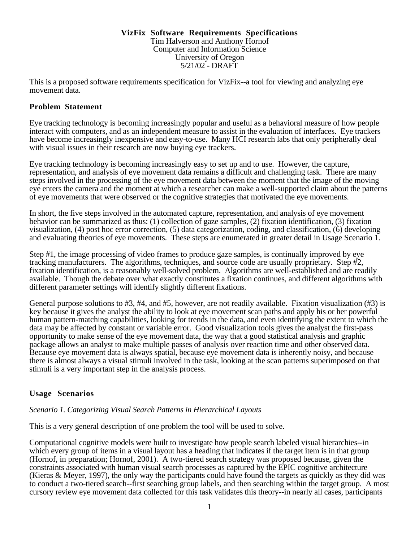#### **VizFix Software Requirements Specifications** Tim Halverson and Anthony Hornof Computer and Information Science University of Oregon 5/21/02 - DRAFT

This is a proposed software requirements specification for VizFix--a tool for viewing and analyzing eye movement data.

### **Problem Statement**

Eye tracking technology is becoming increasingly popular and useful as a behavioral measure of how people interact with computers, and as an independent measure to assist in the evaluation of interfaces. Eye trackers have become increasingly inexpensive and easy-to-use. Many HCI research labs that only peripherally deal with visual issues in their research are now buying eye trackers.

Eye tracking technology is becoming increasingly easy to set up and to use. However, the capture, representation, and analysis of eye movement data remains a difficult and challenging task. There are many steps involved in the processing of the eye movement data between the moment that the image of the moving eye enters the camera and the moment at which a researcher can make a well-supported claim about the patterns of eye movements that were observed or the cognitive strategies that motivated the eye movements.

In short, the five steps involved in the automated capture, representation, and analysis of eye movement behavior can be summarized as thus: (1) collection of gaze samples, (2) fixation identification, (3) fixation visualization, (4) post hoc error correction, (5) data categorization, coding, and classification, (6) developing and evaluating theories of eye movements. These steps are enumerated in greater detail in Usage Scenario 1.

Step #1, the image processing of video frames to produce gaze samples, is continually improved by eye tracking manufacturers. The algorithms, techniques, and source code are usually proprietary. Step #2, fixation identification, is a reasonably well-solved problem. Algorithms are well-established and are readily available. Though the debate over what exactly constitutes a fixation continues, and different algorithms with different parameter settings will identify slightly different fixations.

General purpose solutions to #3, #4, and #5, however, are not readily available. Fixation visualization (#3) is key because it gives the analyst the ability to look at eye movement scan paths and apply his or her powerful human pattern-matching capabilities, looking for trends in the data, and even identifying the extent to which the data may be affected by constant or variable error. Good visualization tools gives the analyst the first-pass opportunity to make sense of the eye movement data, the way that a good statistical analysis and graphic package allows an analyst to make multiple passes of analysis over reaction time and other observed data. Because eye movement data is always spatial, because eye movement data is inherently noisy, and because there is almost always a visual stimuli involved in the task, looking at the scan patterns superimposed on that stimuli is a very important step in the analysis process.

# **Usage Scenarios**

### *Scenario 1. Categorizing Visual Search Patterns in Hierarchical Layouts*

This is a very general description of one problem the tool will be used to solve.

Computational cognitive models were built to investigate how people search labeled visual hierarchies--in which every group of items in a visual layout has a heading that indicates if the target item is in that group (Hornof, in preparation; Hornof, 2001). A two-tiered search strategy was proposed because, given the constraints associated with human visual search processes as captured by the EPIC cognitive architecture (Kieras & Meyer, 1997), the only way the participants could have found the targets as quickly as they did was to conduct a two-tiered search--first searching group labels, and then searching within the target group. A most cursory review eye movement data collected for this task validates this theory--in nearly all cases, participants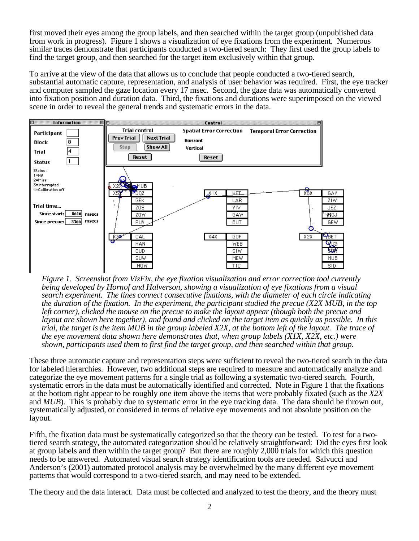first moved their eyes among the group labels, and then searched within the target group (unpublished data from work in progress). Figure 1 shows a visualization of eye fixations from the experiment. Numerous similar traces demonstrate that participants conducted a two-tiered search: They first used the group labels to find the target group, and then searched for the target item exclusively within that group.

To arrive at the view of the data that allows us to conclude that people conducted a two-tiered search, substantial automatic capture, representation, and analysis of user behavior was required. First, the eye tracker and computer sampled the gaze location every 17 msec. Second, the gaze data was automatically converted into fixation position and duration data. Third, the fixations and durations were superimposed on the viewed scene in order to reveal the general trends and systematic errors in the data.



*Figure 1. Screenshot from VizFix, the eye fixation visualization and error correction tool currently being developed by Hornof and Halverson, showing a visualization of eye fixations from a visual search experiment. The lines connect consecutive fixations, with the diameter of each circle indicating the duration of the fixation. In the experiment, the participant studied the precue (X2X MUB, in the top left corner), clicked the mouse on the precue to make the layout appear (though both the precue and layout are shown here together), and found and clicked on the target item as quickly as possible. In this trial, the target is the item MUB in the group labeled X2X, at the bottom left of the layout. The trace of the eye movement data shown here demonstrates that, when group labels (X1X, X2X, etc.) were shown, participants used them to first find the target group, and then searched within that group.*

These three automatic capture and representation steps were sufficient to reveal the two-tiered search in the data for labeled hierarchies. However, two additional steps are required to measure and automatically analyze and categorize the eye movement patterns for a single trial as following a systematic two-tiered search. Fourth, systematic errors in the data must be automatically identified and corrected. Note in Figure 1 that the fixations at the bottom right appear to be roughly one item above the items that were probably fixated (such as the *X2X* and *MUB*). This is probably due to systematic error in the eye tracking data. The data should be thrown out, systematically adjusted, or considered in terms of relative eye movements and not absolute position on the layout.

Fifth, the fixation data must be systematically categorized so that the theory can be tested. To test for a twotiered search strategy, the automated categorization should be relatively straightforward: Did the eyes first look at group labels and then within the target group? But there are roughly 2,000 trials for which this question needs to be answered. Automated visual search strategy identification tools are needed. Salvucci and Anderson's (2001) automated protocol analysis may be overwhelmed by the many different eye movement patterns that would correspond to a two-tiered search, and may need to be extended.

The theory and the data interact. Data must be collected and analyzed to test the theory, and the theory must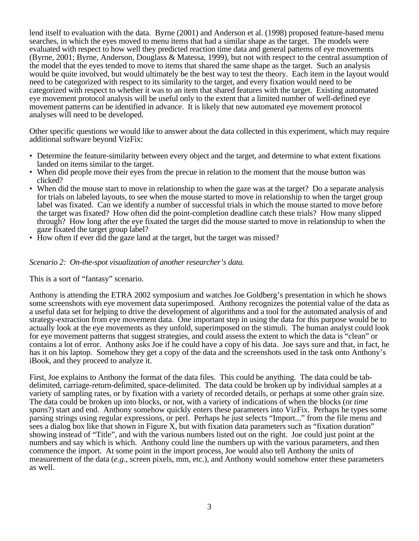lend itself to evaluation with the data. Byrne (2001) and Anderson et al. (1998) proposed feature-based menu searches, in which the eyes moved to menu items that had a similar shape as the target. The models were evaluated with respect to how well they predicted reaction time data and general patterns of eye movements (Byrne, 2001; Byrne, Anderson, Douglass & Matessa, 1999), but not with respect to the central assumption of the model that the eyes tended to move to items that shared the same shape as the target. Such an analysis would be quite involved, but would ultimately be the best way to test the theory. Each item in the layout would need to be categorized with respect to its similarity to the target, and every fixation would need to be categorized with respect to whether it was to an item that shared features with the target. Existing automated eye movement protocol analysis will be useful only to the extent that a limited number of well-defined eye movement patterns can be identified in advance. It is likely that new automated eye movement protocol analyses will need to be developed.

Other specific questions we would like to answer about the data collected in this experiment, which may require additional software beyond VizFix:

- Determine the feature-similarity between every object and the target, and determine to what extent fixations landed on items similar to the target.
- When did people move their eyes from the precue in relation to the moment that the mouse button was clicked?
- When did the mouse start to move in relationship to when the gaze was at the target? Do a separate analysis for trials on labeled layouts, to see when the mouse started to move in relationship to when the target group label was fixated. Can we identify a number of successful trials in which the mouse started to move before the target was fixated? How often did the point-completion deadline catch these trials? How many slipped through? How long after the eye fixated the target did the mouse started to move in relationship to when the gaze fixated the target group label?
- How often if ever did the gaze land at the target, but the target was missed?

#### *Scenario 2: On-the-spot visualization of another researcher's data.*

This is a sort of "fantasy" scenario.

Anthony is attending the ETRA 2002 symposium and watches Joe Goldberg's presentation in which he shows some screenshots with eye movement data superimposed. Anthony recognizes the potential value of the data as a useful data set for helping to drive the development of algorithms and a tool for the automated analysis of and strategy-extraction from eye movement data. One important step in using the data for this purpose would be to actually look at the eye movements as they unfold, superimposed on the stimuli. The human analyst could look for eye movement patterns that suggest strategies, and could assess the extent to which the data is "clean" or contains a lot of error. Anthony asks Joe if he could have a copy of his data. Joe says sure and that, in fact, he has it on his laptop. Somehow they get a copy of the data and the screenshots used in the task onto Anthony's iBook, and they proceed to analyze it.

First, Joe explains to Anthony the format of the data files. This could be anything. The data could be tabdelimited, carriage-return-delimited, space-delimited. The data could be broken up by individual samples at a variety of sampling rates, or by fixation with a variety of recorded details, or perhaps at some other grain size. The data could be broken up into blocks, or not, with a variety of indications of when the blocks (or *time spans*?) start and end. Anthony somehow quickly enters these parameters into VizFix. Perhaps he types some parsing strings using regular expressions, or perl. Perhaps he just selects "Import..." from the file menu and sees a dialog box like that shown in Figure X, but with fixation data parameters such as "fixation duration" showing instead of "Title", and with the various numbers listed out on the right. Joe could just point at the numbers and say which is which. Anthony could line the numbers up with the various parameters, and then commence the import. At some point in the import process, Joe would also tell Anthony the units of measurement of the data (*e.g.*, screen pixels, mm, etc.), and Anthony would somehow enter these parameters as well.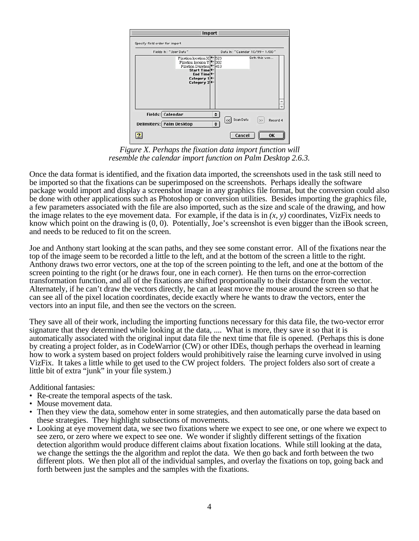|                                                     |                                                                                                                                                                         | Import      |                                                       |
|-----------------------------------------------------|-------------------------------------------------------------------------------------------------------------------------------------------------------------------------|-------------|-------------------------------------------------------|
| Specify field order for import                      |                                                                                                                                                                         |             |                                                       |
|                                                     | Fields In: "User Data"                                                                                                                                                  |             | Data In: "Calendar 10/99 - 1/00"                      |
|                                                     | Fixation location X <sup>+</sup><br>Fixation locaion $Y$<br>Fixation Duration <a><br/>Start Time<br/>End Time<br/>Category 1<sup>4</sup><br/>Category 2<sup>+</sup></a> | 523<br>1302 | Seth this wee                                         |
| Fields: Calendar<br><b>Delimiters: Palm Desktop</b> |                                                                                                                                                                         | $\div$<br>٠ | <<   Scan Data<br>$\overline{\mathbf{z}}$<br>Record 4 |
|                                                     |                                                                                                                                                                         |             | Cancel<br>0K                                          |

*Figure X. Perhaps the fixation data import function will resemble the calendar import function on Palm Desktop 2.6.3.*

Once the data format is identified, and the fixation data imported, the screenshots used in the task still need to be imported so that the fixations can be superimposed on the screenshots. Perhaps ideally the software package would import and display a screenshot image in any graphics file format, but the conversion could also be done with other applications such as Photoshop or conversion utilities. Besides importing the graphics file, a few parameters associated with the file are also imported, such as the size and scale of the drawing, and how the image relates to the eye movement data. For example, if the data is in  $(x, y)$  coordinates, VizFix needs to know which point on the drawing is (0, 0). Potentially, Joe's screenshot is even bigger than the iBook screen, and needs to be reduced to fit on the screen.

Joe and Anthony start looking at the scan paths, and they see some constant error. All of the fixations near the top of the image seem to be recorded a little to the left, and at the bottom of the screen a little to the right. Anthony draws two error vectors, one at the top of the screen pointing to the left, and one at the bottom of the screen pointing to the right (or he draws four, one in each corner). He then turns on the error-correction transformation function, and all of the fixations are shifted proportionally to their distance from the vector. Alternately, if he can't draw the vectors directly, he can at least move the mouse around the screen so that he can see all of the pixel location coordinates, decide exactly where he wants to draw the vectors, enter the vectors into an input file, and then see the vectors on the screen.

They save all of their work, including the importing functions necessary for this data file, the two-vector error signature that they determined while looking at the data, .... What is more, they save it so that it is automatically associated with the original input data file the next time that file is opened. (Perhaps this is done by creating a project folder, as in CodeWarrior (CW) or other IDEs, though perhaps the overhead in learning how to work a system based on project folders would prohibitively raise the learning curve involved in using VizFix. It takes a little while to get used to the CW project folders. The project folders also sort of create a little bit of extra "junk" in your file system.)

Additional fantasies:

- Re-create the temporal aspects of the task. Mouse movement data.
- 
- Then they view the data, somehow enter in some strategies, and then automatically parse the data based on these strategies. They highlight subsections of movements.
- Looking at eye movement data, we see two fixations where we expect to see one, or one where we expect to see zero, or zero where we expect to see one. We wonder if slightly different settings of the fixation detection algorithm would produce different claims about fixation locations. While still looking at the data, we change the settings the the algorithm and replot the data. We then go back and forth between the two different plots. We then plot all of the individual samples, and overlay the fixations on top, going back and forth between just the samples and the samples with the fixations.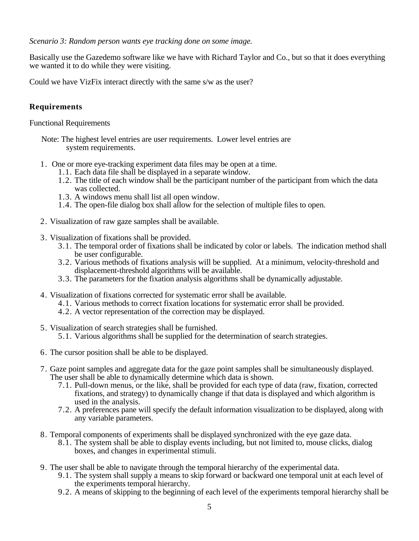*Scenario 3: Random person wants eye tracking done on some image.*

Basically use the Gazedemo software like we have with Richard Taylor and Co., but so that it does everything we wanted it to do while they were visiting.

Could we have VizFix interact directly with the same s/w as the user?

# **Requirements**

Functional Requirements

- Note: The highest level entries are user requirements. Lower level entries are system requirements.
- 1. One or more eye-tracking experiment data files may be open at a time.
	- 1.1. Each data file shall be displayed in a separate window.
	- 1.2. The title of each window shall be the participant number of the participant from which the data was collected.
	- 1.3. A windows menu shall list all open window.
	- 1.4. The open-file dialog box shall allow for the selection of multiple files to open.
- 2. Visualization of raw gaze samples shall be available.
- 3. Visualization of fixations shall be provided.
	- 3.1. The temporal order of fixations shall be indicated by color or labels. The indication method shall be user configurable.
	- 3.2. Various methods of fixations analysis will be supplied. At a minimum, velocity-threshold and displacement-threshold algorithms will be available.
	- 3.3. The parameters for the fixation analysis algorithms shall be dynamically adjustable.
- 4. Visualization of fixations corrected for systematic error shall be available.
	- 4.1. Various methods to correct fixation locations for systematic error shall be provided.
	- 4.2. A vector representation of the correction may be displayed.
- 5. Visualization of search strategies shall be furnished.
	- 5.1. Various algorithms shall be supplied for the determination of search strategies.
- 6. The cursor position shall be able to be displayed.
- 7. Gaze point samples and aggregate data for the gaze point samples shall be simultaneously displayed. The user shall be able to dynamically determine which data is shown.
	- 7.1. Pull-down menus, or the like, shall be provided for each type of data (raw, fixation, corrected fixations, and strategy) to dynamically change if that data is displayed and which algorithm is used in the analysis.
	- 7.2. A preferences pane will specify the default information visualization to be displayed, along with any variable parameters.
- 8. Temporal components of experiments shall be displayed synchronized with the eye gaze data.
	- 8.1. The system shall be able to display events including, but not limited to, mouse clicks, dialog boxes, and changes in experimental stimuli.
- 9. The user shall be able to navigate through the temporal hierarchy of the experimental data.
	- 9.1. The system shall supply a means to skip forward or backward one temporal unit at each level of the experiments temporal hierarchy.
	- 9.2. A means of skipping to the beginning of each level of the experiments temporal hierarchy shall be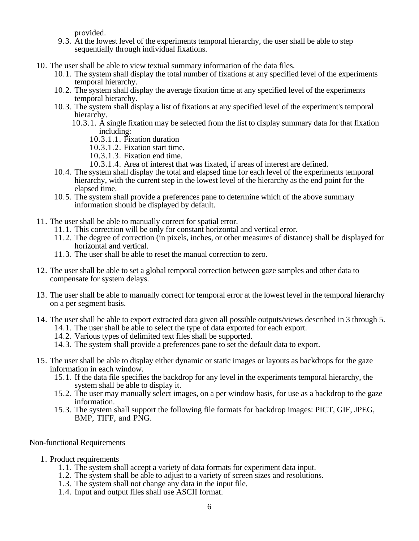provided.

- 9.3. At the lowest level of the experiments temporal hierarchy, the user shall be able to step sequentially through individual fixations.
- 10. The user shall be able to view textual summary information of the data files.
	- 10.1. The system shall display the total number of fixations at any specified level of the experiments temporal hierarchy.
	- 10.2. The system shall display the average fixation time at any specified level of the experiments temporal hierarchy.
	- 10.3. The system shall display a list of fixations at any specified level of the experiment's temporal hierarchy.
		- 10.3.1. A single fixation may be selected from the list to display summary data for that fixation including:
			- 10.3.1.1. Fixation duration
			- 10.3.1.2. Fixation start time.
			- 10.3.1.3. Fixation end time.
			- 10.3.1.4. Area of interest that was fixated, if areas of interest are defined.
	- 10.4. The system shall display the total and elapsed time for each level of the experiments temporal hierarchy, with the current step in the lowest level of the hierarchy as the end point for the elapsed time.
	- 10.5. The system shall provide a preferences pane to determine which of the above summary information should be displayed by default.
- 11. The user shall be able to manually correct for spatial error.
	- 11.1. This correction will be only for constant horizontal and vertical error.
	- 11.2. The degree of correction (in pixels, inches, or other measures of distance) shall be displayed for horizontal and vertical.
	- 11.3. The user shall be able to reset the manual correction to zero.
- 12. The user shall be able to set a global temporal correction between gaze samples and other data to compensate for system delays.
- 13. The user shall be able to manually correct for temporal error at the lowest level in the temporal hierarchy on a per segment basis.
- 14. The user shall be able to export extracted data given all possible outputs/views described in 3 through 5.
	- 14.1. The user shall be able to select the type of data exported for each export.
	- 14.2. Various types of delimited text files shall be supported.
	- 14.3. The system shall provide a preferences pane to set the default data to export.
- 15. The user shall be able to display either dynamic or static images or layouts as backdrops for the gaze information in each window.
	- 15.1. If the data file specifies the backdrop for any level in the experiments temporal hierarchy, the system shall be able to display it.
	- 15.2. The user may manually select images, on a per window basis, for use as a backdrop to the gaze information.
	- 15.3. The system shall support the following file formats for backdrop images: PICT, GIF, JPEG, BMP, TIFF, and PNG.

#### Non-functional Requirements

- 1. Product requirements
	- 1.1. The system shall accept a variety of data formats for experiment data input.
	- 1.2. The system shall be able to adjust to a variety of screen sizes and resolutions.
	- 1.3. The system shall not change any data in the input file.
	- 1.4. Input and output files shall use ASCII format.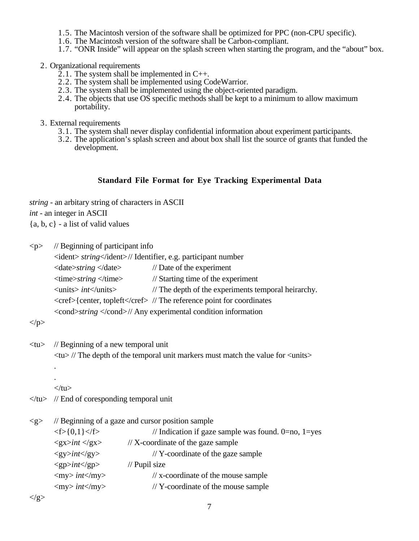- 1.5. The Macintosh version of the software shall be optimized for PPC (non-CPU specific).
- 1.6. The Macintosh version of the software shall be Carbon-compliant.
- 1.7. "ONR Inside" will appear on the splash screen when starting the program, and the "about" box.

2. Organizational requirements

- $2.1$ . The system shall be implemented in C++.
- 2.2. The system shall be implemented using CodeWarrior.
- 2.3. The system shall be implemented using the object-oriented paradigm.
- 2.4. The objects that use OS specific methods shall be kept to a minimum to allow maximum portability.
- 3. External requirements
	- 3.1. The system shall never display confidential information about experiment participants.
	- 3.2. The application's splash screen and about box shall list the source of grants that funded the development.

## **Standard File Format for Eye Tracking Experimental Data**

*string* - an arbitary string of characters in ASCII *int* - an integer in ASCII

 ${a, b, c}$  - a list of valid values

<p> // Beginning of participant info <ident> *string*</ident>// Identifier, e.g. participant number <date>*string* </date> // Date of the experiment <time>*string* </time> // Starting time of the experiment <units> *int*</units> // The depth of the experiments temporal heirarchy. <cref>{center, topleft</cref> // The reference point for coordinates <cond>*string* </cond>// Any experimental condition information

 $<$ /p>

<tu> // Beginning of a new temporal unit

 $\langle \text{t} \rangle$  // The depth of the temporal unit markers must match the value for  $\langle \text{units} \rangle$ 

.  $\langle$ tu $\rangle$ 

.

 $\langle \rangle$ tu $>$  // End of coresponding temporal unit

| $\langle \text{g} \rangle$ | // Beginning of a gaze and cursor position sample |                                                           |  |
|----------------------------|---------------------------------------------------|-----------------------------------------------------------|--|
|                            | $\langle f \rangle$ {0,1} $\langle f \rangle$     | // Indication if gaze sample was found. $0=$ no, $1=$ yes |  |
|                            | $<$ gx>int $<$ /gx>                               | $// X-coordinate of the gaze sample$                      |  |
|                            | $<\geq y$ >int $<\geq y$ >                        | $\frac{1}{2}$ Y-coordinate of the gaze sample             |  |
|                            | $<$ gp>int $<$ /gp>                               | $\frac{1}{2}$ Pupil size                                  |  |
|                            | $\langle$ my> int $\langle$ my>                   | $\frac{1}{x}$ x-coordinate of the mouse sample            |  |
|                            | $\langle$ my> int $\langle$ my>                   | $//$ Y-coordinate of the mouse sample                     |  |
|                            |                                                   |                                                           |  |

 $\langle$ /g>